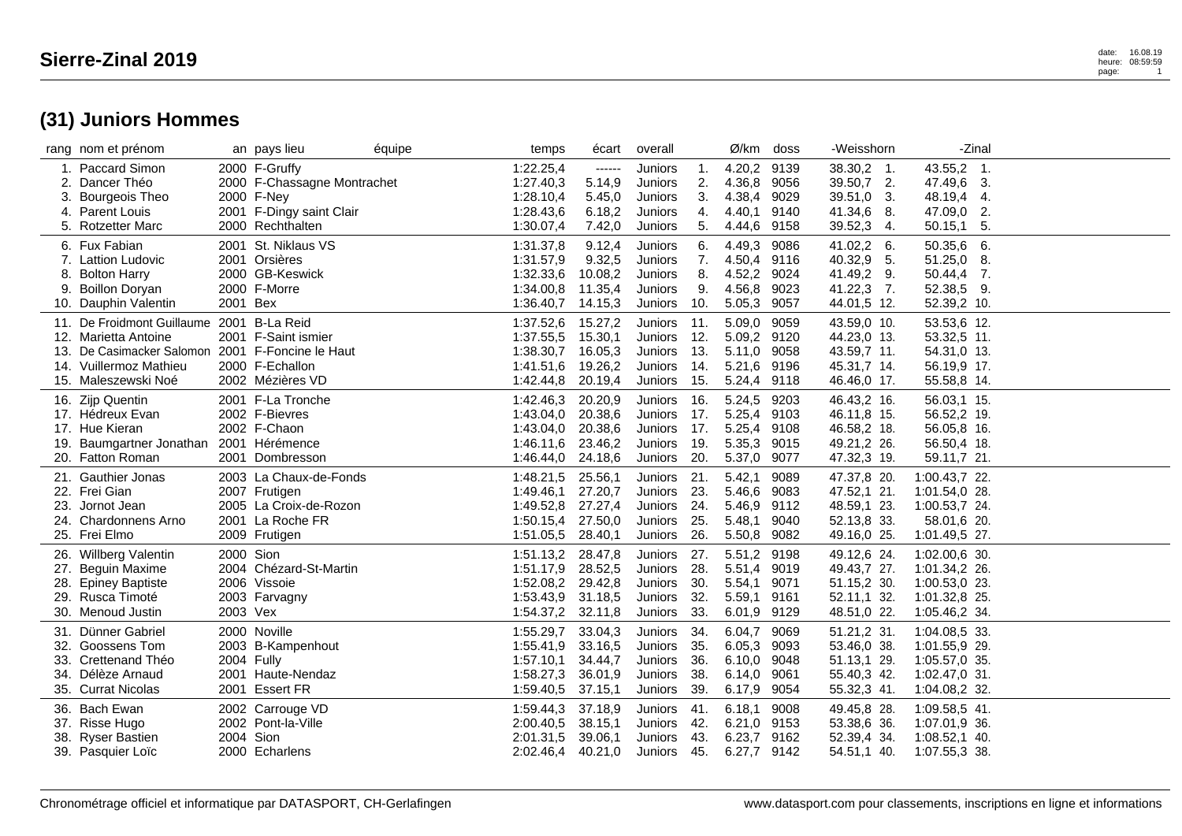|     | rang nom et prénom                                                |            | an pays lieu                           | équipe | temps                  | écart              | overall            |            | Ø/km                  | doss         | -Weisshorn                  |                            | -Zinal |
|-----|-------------------------------------------------------------------|------------|----------------------------------------|--------|------------------------|--------------------|--------------------|------------|-----------------------|--------------|-----------------------------|----------------------------|--------|
|     | 1. Paccard Simon                                                  |            | 2000 F-Gruffy                          |        | 1:22.25,4              | ------             | Juniors            | -1.        | 4.20,2                | 9139         | $38.30,2$ 1.                | 43.55,2 1.                 |        |
| 2.  | Dancer Théo                                                       |            | 2000 F-Chassagne Montrachet            |        | 1:27.40,3              | 5.14,9             | Juniors            | 2.         | 4.36,8                | 9056         | 39.50,7 2.                  | 47.49,6 3.                 |        |
| 3.  | Bourgeois Theo<br>4. Parent Louis                                 |            | 2000 F-Ney<br>2001 F-Dingy saint Clair |        | 1:28.10,4<br>1:28.43,6 | 5.45,0<br>6.18,2   | Juniors<br>Juniors | 3.<br>4.   | 4.38,4<br>4.40,1      | 9029<br>9140 | 39.51,0<br>3.<br>41.34,6 8. | 48.19,4 4.<br>47.09,0 2.   |        |
| 5.  | <b>Rotzetter Marc</b>                                             |            | 2000 Rechthalten                       |        | 1:30.07,4              | 7.42,0             | Juniors            | 5.         | 4.44,6                | 9158         | 39.52,3<br>4.               | 50.15,1                    | -5.    |
|     |                                                                   |            |                                        |        |                        |                    |                    |            |                       |              |                             |                            |        |
|     | 6. Fux Fabian<br>7. Lattion Ludovic                               |            | 2001 St. Niklaus VS<br>2001 Orsières   |        | 1:31.37,8<br>1:31.57,9 | 9.12,4             | Juniors            | 6.         | 4.49,3<br>4.50,4      | 9086<br>9116 | 41.02,2<br>- 6.             | 50.35,6 6.                 |        |
|     | 8. Bolton Harry                                                   |            | 2000 GB-Keswick                        |        | 1:32.33,6              | 9.32,5<br>10.08,2  | Juniors<br>Juniors | 7.<br>8.   | 4.52,2                | 9024         | 40.32,9 5.<br>41.49,2 9.    | $51.25,0$ 8.<br>50.44,4 7. |        |
| 9.  | <b>Boillon Doryan</b>                                             |            | 2000 F-Morre                           |        | 1:34.00,8              | 11.35,4            | Juniors            | 9.         | 4.56,8                | 9023         | 41.22,3 7.                  | 52.38,5 9.                 |        |
|     | 10. Dauphin Valentin                                              | 2001 Bex   |                                        |        | $1:36.40,7$ 14.15,3    |                    | Juniors            | 10.        | 5.05,3 9057           |              | 44.01,5 12.                 | 52.39,2 10.                |        |
|     |                                                                   |            |                                        |        |                        |                    |                    |            |                       |              |                             |                            |        |
|     | 11. De Froidmont Guillaume 2001 B-La Reid<br>12. Marietta Antoine |            | 2001 F-Saint ismier                    |        | 1:37.52,6<br>1:37.55,5 | 15.27,2<br>15.30,1 | Juniors<br>Juniors | 11.<br>12. | 5.09,0<br>5.09,2 9120 | 9059         | 43.59,0 10.<br>44.23,0 13.  | 53.53,6 12.<br>53.32,5 11. |        |
|     | 13. De Casimacker Salomon                                         |            | 2001 F-Foncine le Haut                 |        |                        | 16.05,3            | Juniors            | 13.        | 5.11,0                |              | 43.59,7 11.                 |                            |        |
|     | 14. Vuillermoz Mathieu                                            |            | 2000 F-Echallon                        |        | 1:38.30,7<br>1:41.51,6 | 19.26,2            | Juniors            | 14.        | 5.21,6                | 9058<br>9196 | 45.31,7 14.                 | 54.31,0 13.<br>56.19,9 17. |        |
|     | 15. Maleszewski Noé                                               |            | 2002 Mézières VD                       |        | 1:42.44,8              | 20.19,4            | Juniors            | 15.        | 5.24,4 9118           |              | 46.46,0 17.                 | 55.58,8 14.                |        |
|     |                                                                   |            |                                        |        |                        |                    |                    |            |                       |              |                             |                            |        |
|     | 16. Zijp Quentin                                                  |            | 2001 F-La Tronche                      |        | 1:42.46,3              | 20.20,9            | Juniors            | 16.        | 5.24,5                | 9203         | 46.43,2 16.                 | 56.03,1 15.                |        |
|     | 17. Hédreux Evan                                                  |            | 2002 F-Bievres                         |        | 1:43.04,0              | 20.38,6            | Juniors            | 17.        | 5.25,4                | 9103         | 46.11,8 15.                 | 56.52,2 19.                |        |
|     | 17. Hue Kieran                                                    |            | 2002 F-Chaon                           |        | 1:43.04,0              | 20.38,6            | Juniors            | 17.        | 5.25,4                | 9108         | 46.58,2 18.                 | 56.05,8 16.                |        |
|     | 19. Baumgartner Jonathan                                          |            | 2001 Hérémence                         |        | 1:46.11,6              | 23.46,2            | Juniors            | 19.        | 5.35,3                | 9015         | 49.21,2 26.                 | 56.50,4 18.                |        |
|     | 20. Fatton Roman                                                  |            | 2001 Dombresson                        |        | 1:46.44,0              | 24.18,6            | Juniors            | 20.        | 5.37,0                | 9077         | 47.32,3 19.                 | 59.11,7 21.                |        |
|     | 21. Gauthier Jonas                                                |            | 2003 La Chaux-de-Fonds                 |        | 1:48.21,5              | 25.56,1            | Juniors            | 21.        | 5.42,1                | 9089         | 47.37,8 20.                 | 1:00.43,7 22.              |        |
|     | 22. Frei Gian                                                     |            | 2007 Frutigen                          |        | 1:49.46,1              | 27.20,7            | Juniors            | 23.        | 5.46,6                | 9083         | 47.52,1 21.                 | 1:01.54,0 28.              |        |
| 23. | Jornot Jean                                                       |            | 2005 La Croix-de-Rozon                 |        | 1:49.52,8              | 27.27,4            | Juniors            | 24.        | 5.46,9                | 9112         | 48.59,1 23.                 | 1:00.53,7 24.              |        |
|     | 24. Chardonnens Arno                                              |            | 2001 La Roche FR                       |        | 1:50.15,4 27.50,0      |                    | Juniors            | 25.        | 5.48,1                | 9040         | 52.13,8 33.                 | 58.01,6 20.                |        |
|     | 25. Frei Elmo                                                     |            | 2009 Frutigen                          |        | 1:51.05,5              | 28.40,1            | Juniors            | 26.        | 5.50,8                | 9082         | 49.16,0 25.                 | 1:01.49,5 27.              |        |
|     | 26. Willberg Valentin                                             | 2000 Sion  |                                        |        | 1:51.13,2              | 28.47,8            | Juniors            | 27.        | 5.51,2                | 9198         | 49.12,6 24.                 | 1:02.00,6 30.              |        |
| 27. | <b>Beguin Maxime</b>                                              |            | 2004 Chézard-St-Martin                 |        | 1:51.17,9              | 28.52,5            | Juniors            | 28.        | 5.51,4                | 9019         | 49.43,7 27.                 | 1:01.34,2 26.              |        |
|     | 28. Epiney Baptiste                                               |            | 2006 Vissoie                           |        | 1:52.08,2 29.42,8      |                    | Juniors            | 30.        | 5.54,1                | 9071         | 51.15,2 30.                 | 1:00.53,0 23.              |        |
|     | 29. Rusca Timoté                                                  |            | 2003 Farvagny                          |        | 1:53.43,9              | 31.18,5            | Juniors            | 32.        | 5.59,1                | 9161         | 52.11,1 32.                 | 1:01.32,8 25.              |        |
|     | 30. Menoud Justin                                                 | 2003 Vex   |                                        |        | 1:54.37,2 32.11,8      |                    | Juniors            | 33.        | 6.01,9                | 9129         | 48.51,0 22.                 | 1:05.46,2 34.              |        |
|     | 31. Dünner Gabriel                                                |            | 2000 Noville                           |        | 1:55.29,7              | 33.04,3            | Juniors            | 34.        | 6.04,7                | 9069         | 51.21,2 31.                 | 1:04.08,5 33.              |        |
|     | 32. Goossens Tom                                                  |            | 2003 B-Kampenhout                      |        | 1:55.41.9              | 33.16,5            | Juniors            | 35.        | 6.05,3                | 9093         | 53.46,0 38.                 | 1:01.55,9 29.              |        |
|     | 33. Crettenand Théo                                               | 2004 Fully |                                        |        | 1:57.10,1              | 34.44,7            | Juniors            | 36.        | 6.10,0                | 9048         | 51.13,1 29.                 | 1:05.57,0 35.              |        |
|     | 34. Délèze Arnaud                                                 |            | 2001 Haute-Nendaz                      |        | 1:58.27,3              | 36.01,9            | Juniors            | 38.        | 6.14,0                | 9061         | 55.40,3 42.                 | 1:02.47,0 31.              |        |
|     | 35. Currat Nicolas                                                |            | 2001 Essert FR                         |        | 1:59.40,5              | 37.15,1            | Juniors            | 39.        | 6.17,9                | 9054         | 55.32,3 41.                 | 1:04.08,2 32.              |        |
|     | 36. Bach Ewan                                                     |            | 2002 Carrouge VD                       |        | 1:59.44,3              | 37.18,9            | Juniors            | 41.        | 6.18,1                | 9008         | 49.45,8 28.                 | 1:09.58,5 41.              |        |
|     | 37. Risse Hugo                                                    |            | 2002 Pont-la-Ville                     |        | 2:00.40,5              | 38.15,1            | Juniors            | 42.        | 6.21,0                | 9153         | 53.38,6 36.                 | 1:07.01,9 36.              |        |
|     | 38. Ryser Bastien                                                 | 2004 Sion  |                                        |        | 2:01.31,5              | 39.06,1            | Juniors            | 43.        | 6.23,7                | 9162         | 52.39,4 34.                 | $1:08.52,1$ 40.            |        |
|     | 39. Pasquier Loïc                                                 |            | 2000 Echarlens                         |        | 2:02.46,4 40.21,0      |                    | Juniors            | 45.        | 6.27,7 9142           |              | 54.51,1 40.                 | 1:07.55,3 38.              |        |
|     |                                                                   |            |                                        |        |                        |                    |                    |            |                       |              |                             |                            |        |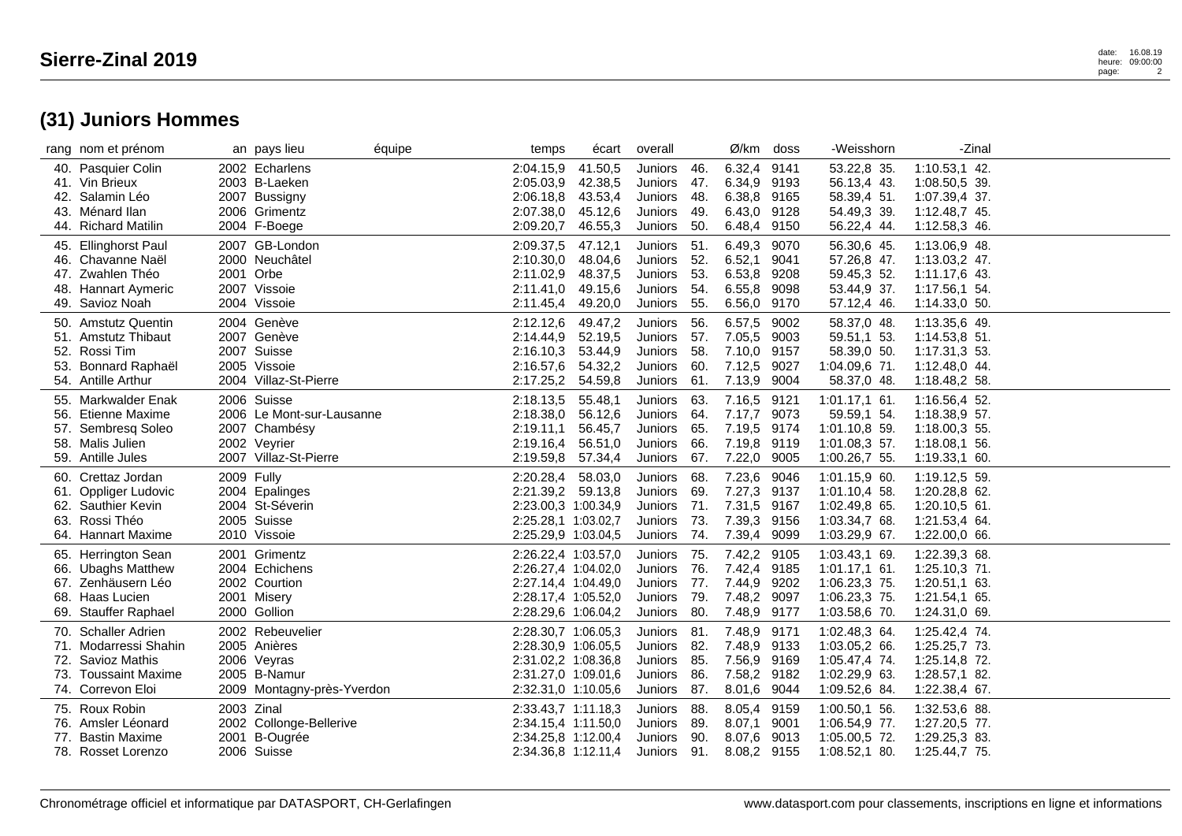## heure: 09:00:00 page: 2

|     | rang nom et prénom                                                                                             |            | an pays lieu                                                                                       | équipe | temps                                                                                                           | écart                                               | overall                                                    |                                    | Ø/km                                                     | doss                                 | -Weisshorn                                                                          | -Zinal                                                                              |  |
|-----|----------------------------------------------------------------------------------------------------------------|------------|----------------------------------------------------------------------------------------------------|--------|-----------------------------------------------------------------------------------------------------------------|-----------------------------------------------------|------------------------------------------------------------|------------------------------------|----------------------------------------------------------|--------------------------------------|-------------------------------------------------------------------------------------|-------------------------------------------------------------------------------------|--|
|     | 40. Pasquier Colin<br>41. Vin Brieux<br>42. Salamin Léo<br>43. Ménard Ilan<br>44. Richard Matilin              |            | 2002 Echarlens<br>2003 B-Laeken<br>2007 Bussigny<br>2006 Grimentz<br>2004 F-Boege                  |        | 2:04.15,9<br>2:05.03.9<br>2:06.18,8<br>2:07.38,0<br>2:09.20,7                                                   | 41.50,5<br>42.38,5<br>43.53,4<br>45.12,6<br>46.55,3 | Juniors<br><b>Juniors</b><br>Juniors<br>Juniors<br>Juniors | -46.<br>47.<br>- 48.<br>49.<br>50. | 6.32,4 9141<br>6.34,9<br>6.38,8<br>6.43,0<br>6.48,4      | 9193<br>9165<br>9128<br>9150         | 53.22,8 35.<br>56.13,4 43.<br>58.39,4 51.<br>54.49,3 39.<br>56.22,4 44.             | 1:10.53,1 42.<br>1:08.50,5 39.<br>1:07.39,4 37.<br>1:12.48,7 45.<br>1:12.58,3 46.   |  |
| 47. | 45. Ellinghorst Paul<br>46. Chavanne Naël<br>Zwahlen Théo<br>48. Hannart Aymeric<br>49. Savioz Noah            |            | 2007 GB-London<br>2000 Neuchâtel<br>2001 Orbe<br>2007 Vissoie<br>2004 Vissoie                      |        | 2:09.37,5<br>2:10.30,0<br>2:11.02,9<br>2:11.41,0<br>2:11.45,4                                                   | 47.12,1<br>48.04,6<br>48.37,5<br>49.15,6<br>49.20,0 | Juniors<br>Juniors<br>Juniors<br>Juniors<br>Juniors        | 51.<br>52.<br>53.<br>54.<br>55.    | 6.49,3<br>6.52,1<br>6.53,8<br>6.55,8<br>6.56,0           | 9070<br>9041<br>9208<br>9098<br>9170 | 56.30,6 45.<br>57.26,8 47.<br>59.45,3 52.<br>53.44,9 37.<br>57.12,4 46.             | 1:13.06,9 48.<br>1:13.03,2 47.<br>1:11.17,6 43.<br>1:17.56,1 54.<br>1:14.33,0 50.   |  |
| 53. | 50. Amstutz Quentin<br>51. Amstutz Thibaut<br>52. Rossi Tim<br>Bonnard Raphaël<br>54. Antille Arthur           |            | 2004 Genève<br>2007 Genève<br>2007 Suisse<br>2005 Vissoie<br>2004 Villaz-St-Pierre                 |        | 2:12.12,6<br>2:14.44,9<br>2:16.10,3<br>2:16.57,6<br>2:17.25,2 54.59,8                                           | 49.47,2<br>52.19,5<br>53.44,9<br>54.32,2            | Juniors<br>Juniors 57.<br>Juniors<br>Juniors<br>Juniors    | 56.<br>-58.<br>60.<br>61.          | 6.57,5<br>7.05,5<br>7.10,0 9157<br>7.12,5<br>7.13,9      | 9002<br>9003<br>9027<br>9004         | 58.37,0 48.<br>59.51,1 53.<br>58.39,0 50.<br>1:04.09,6 71.<br>58.37,0 48.           | 1:13.35,6 49.<br>1:14.53,8 51.<br>1:17.31,3 53.<br>1:12.48,0 44.<br>1:18.48,2 58.   |  |
| 56. | 55. Markwalder Enak<br><b>Etienne Maxime</b><br>57. Sembresq Soleo<br>58. Malis Julien<br>59. Antille Jules    |            | 2006 Suisse<br>2006 Le Mont-sur-Lausanne<br>2007 Chambésy<br>2002 Veyrier<br>2007 Villaz-St-Pierre |        | 2:18.13,5<br>2:18.38,0<br>2:19.11,1<br>2:19.16,4 56.51,0<br>2:19.59,8                                           | 55.48,1<br>56.12,6<br>56.45,7<br>57.34,4            | Juniors<br>Juniors<br>Juniors<br>Juniors<br>Juniors        | 63.<br>64.<br>65.<br>66.<br>67.    | 7.16,5<br>7.17.7<br>7.19,5 9174<br>7.19,8<br>7.22,0      | 9121<br>9073<br>9119<br>9005         | 1:01.17,1 61.<br>59.59,1 54.<br>1:01.10.8 59.<br>1:01.08,3 57.<br>1:00.26,7 55.     | 1:16.56,4 52.<br>1:18.38,9 57.<br>1:18.00.3 55.<br>1:18.08,1 56.<br>1:19.33,1 60.   |  |
|     | 60. Crettaz Jordan<br>61. Oppliger Ludovic<br>62. Sauthier Kevin<br>63. Rossi Théo<br>64. Hannart Maxime       | 2009 Fully | 2004 Epalinges<br>2004 St-Séverin<br>2005 Suisse<br>2010 Vissoie                                   |        | 2:20.28,4<br>2:21.39,2 59.13,8<br>2:23.00,3 1:00.34,9<br>2:25.28,1 1:03.02,7<br>2:25.29,9 1:03.04,5             | 58.03,0                                             | Juniors<br>Juniors<br>Juniors<br>Juniors<br>Juniors        | 68.<br>69.<br>71.<br>- 73.<br>74.  | 7.23,6<br>7.27,3<br>7.31,5<br>7.39,3 9156<br>7.39,4 9099 | 9046<br>9137<br>9167                 | 1:01.15,9 60.<br>1:01.10,4 58.<br>1:02.49,8 65.<br>1:03.34,7 68.<br>1:03.29,9 67.   | 1:19.12,5 59.<br>1:20.28,8 62.<br>$1:20.10,5$ 61.<br>1:21.53,4 64.<br>1:22.00,0 66. |  |
|     | 65. Herrington Sean<br>66. Ubaghs Matthew<br>67. Zenhäusern Léo<br>68. Haas Lucien<br>69. Stauffer Raphael     |            | 2001 Grimentz<br>2004 Echichens<br>2002 Courtion<br>2001 Misery<br>2000 Gollion                    |        | 2:26.22,4 1:03.57,0<br>2:26.27,4 1:04.02,0<br>2:27.14,4 1:04.49,0<br>2:28.17,4 1:05.52,0<br>2:28.29,6 1:06.04,2 |                                                     | Juniors<br>Juniors<br>Juniors<br>Juniors<br>Juniors        | 75.<br>- 76.<br>77.<br>79.<br>80.  | 7.42,2<br>7.42,4<br>7.44,9<br>7.48,2<br>7.48,9           | 9105<br>9185<br>9202<br>9097<br>9177 | 1:03.43,1 69.<br>$1:01.17,1$ 61.<br>1:06.23,3 75.<br>1:06.23,3 75.<br>1:03.58,6 70. | 1:22.39,3 68.<br>1:25.10,3 71.<br>1:20.51,1 63.<br>1:21.54,1 65.<br>1:24.31,0 69.   |  |
|     | 70. Schaller Adrien<br>71. Modarressi Shahin<br>72. Savioz Mathis<br>73. Toussaint Maxime<br>74. Correvon Eloi |            | 2002 Rebeuvelier<br>2005 Anières<br>2006 Veyras<br>2005 B-Namur<br>2009 Montagny-près-Yverdon      |        | 2:28.30,7 1:06.05,3<br>2:28.30,9 1:06.05,5<br>2:31.02,2 1:08.36,8<br>2:31.27,0 1:09.01,6<br>2:32.31,0 1:10.05,6 |                                                     | Juniors<br>Juniors<br>Juniors<br>Juniors<br>Juniors        | 81.<br>- 82.<br>85.<br>86.<br>87.  | 7.48,9<br>7.48,9<br>7.56,9 9169<br>7.58,2 9182<br>8.01,6 | 9171<br>9133<br>9044                 | 1:02.48,3 64.<br>1:03.05,2 66.<br>1:05.47,4 74.<br>1:02.29,9 63.<br>1:09.52,6 84.   | 1:25.42,4 74.<br>1:25.25,7 73.<br>1:25.14,8 72.<br>1:28.57,1 82.<br>1:22.38,4 67.   |  |
|     | 75. Roux Robin<br>76. Amsler Léonard<br>77. Bastin Maxime<br>78. Rosset Lorenzo                                |            | 2003 Zinal<br>2002 Collonge-Bellerive<br>2001 B-Ougrée<br>2006 Suisse                              |        | 2:33.43,7 1:11.18,3<br>2:34.15,4 1:11.50,0<br>2:34.25,8 1:12.00,4<br>2:34.36,8 1:12.11,4                        |                                                     | Juniors<br>Juniors<br>Juniors<br>Juniors 91.               | 88.<br>- 89.<br>90.                | 8.05,4 9159<br>8.07.1<br>8.07,6<br>8.08,2 9155           | 9001<br>9013                         | 1:00.50,1 56.<br>1:06.54,9 77.<br>1:05.00.5 72.<br>1:08.52,1 80.                    | 1:32.53,6 88.<br>1:27.20,5 77.<br>1:29.25,3 83.<br>1:25.44,7 75.                    |  |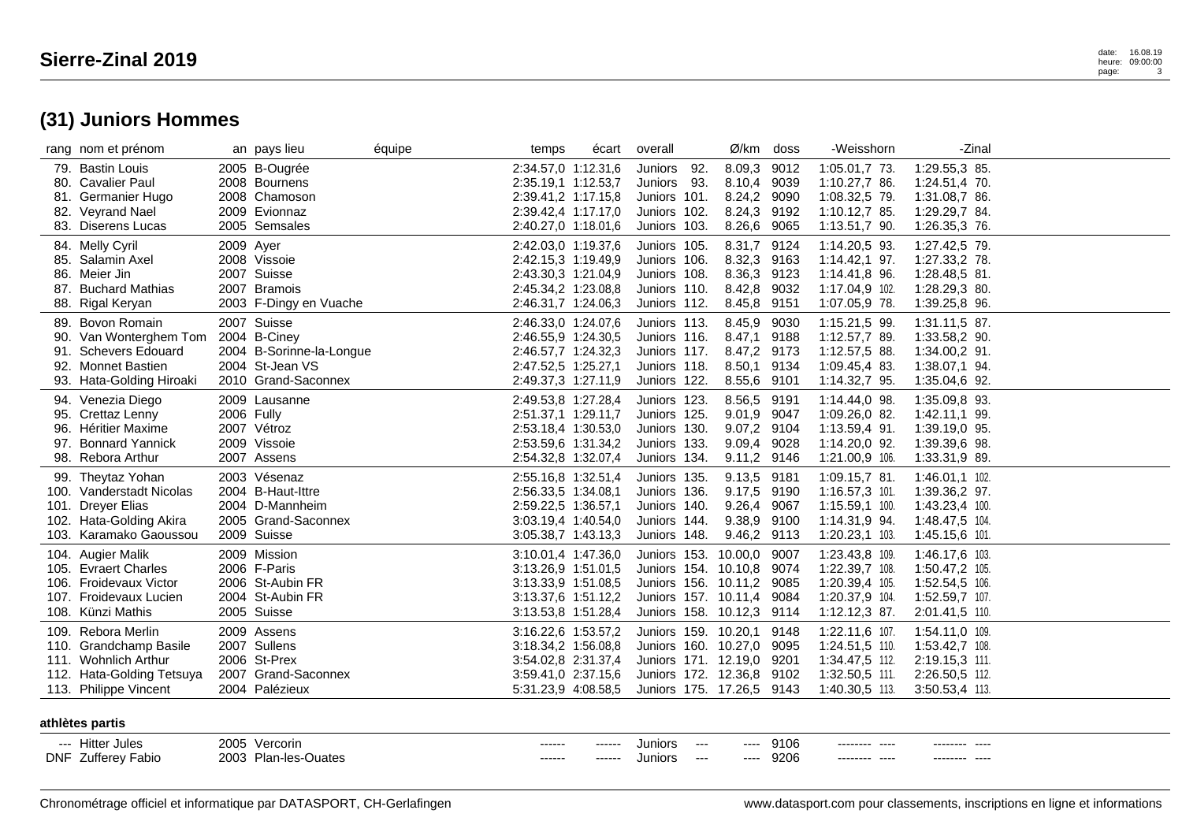## heure: 09:00:00 page:

|      | rang nom et prénom                                                                                                         | an pays lieu                                                                                      | équipe | temps                                                                                                           | écart           | overall                                                                                                                             |                                                               | Ø/km doss            | -Weisshorn                                                                             | -Zinal                                                                                 |  |
|------|----------------------------------------------------------------------------------------------------------------------------|---------------------------------------------------------------------------------------------------|--------|-----------------------------------------------------------------------------------------------------------------|-----------------|-------------------------------------------------------------------------------------------------------------------------------------|---------------------------------------------------------------|----------------------|----------------------------------------------------------------------------------------|----------------------------------------------------------------------------------------|--|
|      | 79. Bastin Louis<br>80. Cavalier Paul<br>81. Germanier Hugo                                                                | 2005 B-Ougrée<br>2008 Bournens<br>2008 Chamoson                                                   |        | 2:34.57,0 1:12.31,6<br>2:35.19,1 1:12.53,7<br>2:39.41.2 1:17.15.8                                               |                 | Juniors 92.<br>Juniors 93.<br>Juniors 101.                                                                                          | 8.09,3<br>8.10,4<br>8.24,2                                    | 9012<br>9039<br>9090 | 1:05.01,7 73.<br>1:10.27,7 86.<br>1:08.32,5 79.                                        | 1:29.55,3 85.<br>1:24.51,4 70.<br>1:31.08.7 86.                                        |  |
|      | 82. Veyrand Nael<br>83. Diserens Lucas                                                                                     | 2009 Evionnaz<br>2005 Semsales                                                                    |        | 2:39.42,4 1:17.17,0<br>2:40.27,0 1:18.01,6                                                                      |                 | Juniors 102.<br>Juniors 103.                                                                                                        | 8.24,3 9192<br>8.26,6                                         | 9065                 | 1:10.12,7 85.<br>1:13.51,7 90.                                                         | 1:29.29,7 84.<br>1:26.35,3 76.                                                         |  |
|      | 84. Melly Cyril<br>85. Salamin Axel<br>86. Meier Jin                                                                       | 2009 Ayer<br>2008 Vissoie<br>2007 Suisse                                                          |        | 2:42.03,0 1:19.37,6<br>2:42.15,3 1:19.49,9<br>2:43.30,3 1:21.04,9                                               |                 | Juniors 105.<br>Juniors 106.<br>Juniors 108.                                                                                        | 8.31,7<br>8.32,3<br>8.36,3 9123                               | 9124<br>9163         | 1:14.20,5 93.<br>1:14.42,1 97.<br>1:14.41,8 96.                                        | 1:27.42,5 79.<br>1:27.33,2 78.<br>1:28.48,5 81.                                        |  |
|      | 87. Buchard Mathias<br>88. Rigal Keryan                                                                                    | 2007 Bramois<br>2003 F-Dingy en Vuache                                                            |        | 2:45.34,2 1:23.08,8<br>2:46.31,7 1:24.06,3                                                                      |                 | Juniors 110.<br>Juniors 112.                                                                                                        | 8.42,8<br>8.45,8 9151                                         | 9032                 | 1:17.04,9 102.<br>1:07.05,9 78.                                                        | 1:28.29,3 80.<br>1:39.25,8 96.                                                         |  |
| 89.  | Bovon Romain<br>90. Van Wonterghem Tom<br>91. Schevers Edouard<br>92. Monnet Bastien<br>93. Hata-Golding Hiroaki           | 2007 Suisse<br>2004 B-Ciney<br>2004 B-Sorinne-la-Longue<br>2004 St-Jean VS<br>2010 Grand-Saconnex |        | 2:46.33,0 1:24.07,6<br>2:46.55,9 1:24.30,5<br>2:46.57,7 1:24.32,3<br>2:47.52,5 1:25.27,1<br>2:49.37,3 1:27.11,9 |                 | Juniors 113.<br>Juniors 116.<br>Juniors 117.<br>Juniors 118.<br>Juniors 122.                                                        | 8.45,9<br>8.47,1<br>8.47,2 9173<br>8.50,1<br>8.55,6 9101      | 9030<br>9188<br>9134 | 1:15.21,5 99.<br>1:12.57,7 89.<br>1:12.57,5 88.<br>1:09.45,4 83.<br>1:14.32,7 95.      | 1:31.11,5 87.<br>1:33.58,2 90.<br>1:34.00,2 91.<br>1:38.07,1 94.<br>1:35.04,6 92.      |  |
|      | 94. Venezia Diego<br>95. Crettaz Lenny<br>96. Héritier Maxime<br>97. Bonnard Yannick<br>98. Rebora Arthur                  | 2009 Lausanne<br>2006 Fully<br>2007 Vétroz<br>2009 Vissoie<br>2007 Assens                         |        | 2:49.53,8 1:27.28,4<br>2:51.37,1 1:29.11,7<br>2:53.18,4 1:30.53,0<br>2:53.59,6 1:31.34,2<br>2:54.32,8 1:32.07,4 |                 | Juniors 123.<br>Juniors 125.<br>Juniors 130.<br>Juniors 133.<br>Juniors 134.                                                        | 8.56,5 9191<br>9.01,9<br>9.07,2 9104<br>9.09,4<br>9.11,2 9146 | 9047<br>9028         | 1:14.44,0 98.<br>1:09.26,0 82.<br>1:13.59,4 91.<br>1:14.20,0 92.<br>1:21.00,9 106.     | 1:35.09,8 93.<br>1:42.11,1 99.<br>1:39.19,0 95.<br>1:39.39,6 98.<br>1:33.31,9 89.      |  |
| 101. | 99. Theytaz Yohan<br>100. Vanderstadt Nicolas<br><b>Dreyer Elias</b><br>102. Hata-Golding Akira<br>103. Karamako Gaoussou  | 2003 Vésenaz<br>2004 B-Haut-Ittre<br>2004 D-Mannheim<br>2005 Grand-Saconnex<br>2009 Suisse        |        | 2:55.16,8 1:32.51,4<br>2:56.33,5 1:34.08,1<br>2:59.22,5 1:36.57,1<br>3:03.19,4 1:40.54,0<br>3:05.38,7 1:43.13,3 |                 | Juniors 135.<br>Juniors 136.<br>Juniors 140.<br>Juniors 144.<br>Juniors 148.                                                        | 9.13,5 9181<br>9.17,5<br>9.26,4<br>9.38,9 9100<br>9.46,2 9113 | 9190<br>9067         | 1:09.15,7 81.<br>1:16.57,3 101.<br>1:15.59,1 100.<br>1:14.31,9 94.<br>1:20.23,1 103.   | 1:46.01,1 102.<br>1:39.36,2 97.<br>1:43.23,4 100.<br>1:48.47,5 104.<br>1:45.15,6 101.  |  |
|      | 104. Augier Malik<br>105. Evraert Charles<br>106. Froidevaux Victor<br>107. Froidevaux Lucien<br>108. Künzi Mathis         | 2009 Mission<br>2006 F-Paris<br>2006 St-Aubin FR<br>2004 St-Aubin FR<br>2005 Suisse               |        | 3:10.01,4 1:47.36,0<br>3:13.26,9 1:51.01,5<br>3:13.33,9 1:51.08,5<br>3:13.37,6 1:51.12,2<br>3:13.53,8 1:51.28,4 |                 | Juniors 153. 10.00,0<br>Juniors 154. 10.10,8<br>Juniors 156. 10.11,2 9085<br>Juniors 157. 10.11,4<br>Juniors 158. 10.12,3 9114      |                                                               | 9007<br>9074<br>9084 | 1:23.43,8 109.<br>1:22.39,7 108.<br>1:20.39,4 105.<br>1:20.37,9 104.<br>1:12.12,3 87.  | 1:46.17,6 103.<br>1:50.47,2 105.<br>1:52.54,5 106.<br>1:52.59,7 107.<br>2:01.41,5 110. |  |
|      | 109. Rebora Merlin<br>110. Grandchamp Basile<br>111. Wohnlich Arthur<br>112. Hata-Golding Tetsuya<br>113. Philippe Vincent | 2009 Assens<br>2007 Sullens<br>2006 St-Prex<br>2007 Grand-Saconnex<br>2004 Palézieux              |        | 3:16.22,6 1:53.57,2<br>3:18.34,2 1:56.08,8<br>3:54.02,8 2:31.37,4<br>3:59.41,0 2:37.15,6<br>5:31.23,9 4:08.58,5 |                 | Juniors 159. 10.20,1<br>Juniors 160. 10.27,0<br>Juniors 171. 12.19,0 9201<br>Juniors 172. 12.36,8 9102<br>Juniors 175. 17.26,5 9143 |                                                               | 9148<br>9095         | 1:22.11,6 107.<br>1:24.51,5 110.<br>1:34.47,5 112.<br>1:32.50,5 111.<br>1:40.30,5 113. | 1:54.11,0 109.<br>1:53.42,7 108.<br>2:19.15,3 111.<br>2:26.50,5 112.<br>3:50.53,4 113. |  |
|      | athlètes partis                                                                                                            |                                                                                                   |        |                                                                                                                 |                 |                                                                                                                                     |                                                               |                      |                                                                                        |                                                                                        |  |
|      | --- Hitter Jules<br><b>DNF</b> Zufferey Fabio                                                                              | 2005 Vercorin<br>2003 Plan-les-Ouates                                                             |        | ------<br>------                                                                                                | -----<br>------ | Juniors<br>$\hspace{0.05cm} \ldots$<br><b>Juniors</b><br>$\hspace{0.05cm} \ldots$                                                   | ----<br>----                                                  | 9106<br>9206         | -------- ---<br>-------- ---                                                           | $---$<br>-------- ---                                                                  |  |